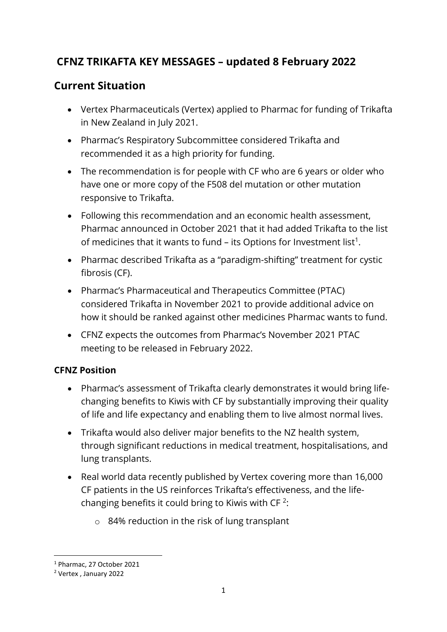# **CFNZ TRIKAFTA KEY MESSAGES – updated 8 February 2022**

## **Current Situation**

- Vertex Pharmaceuticals (Vertex) applied to Pharmac for funding of Trikafta in New Zealand in July 2021.
- Pharmac's Respiratory Subcommittee considered Trikafta and recommended it as a high priority for funding.
- The recommendation is for people with CF who are 6 years or older who have one or more copy of the F508 del mutation or other mutation responsive to Trikafta.
- Following this recommendation and an economic health assessment, Pharmac announced in October 2021 that it had added Trikafta to the list of medicines that it wants to fund  $-$  its Options for Investment list<sup>1</sup>.
- Pharmac described Trikafta as a "paradigm-shifting" treatment for cystic fibrosis (CF).
- Pharmac's Pharmaceutical and Therapeutics Committee (PTAC) considered Trikafta in November 2021 to provide additional advice on how it should be ranked against other medicines Pharmac wants to fund.
- CFNZ expects the outcomes from Pharmac's November 2021 PTAC meeting to be released in February 2022.

## **CFNZ Position**

- Pharmac's assessment of Trikafta clearly demonstrates it would bring lifechanging benefits to Kiwis with CF by substantially improving their quality of life and life expectancy and enabling them to live almost normal lives.
- Trikafta would also deliver major benefits to the NZ health system, through significant reductions in medical treatment, hospitalisations, and lung transplants.
- Real world data recently published by Vertex covering more than 16,000 CF patients in the US reinforces Trikafta's effectiveness, and the lifechanging benefits it could bring to Kiwis with CF<sup>2</sup>:
	- o 84% reduction in the risk of lung transplant

<sup>1</sup> Pharmac, 27 October 2021

<sup>2</sup> Vertex , January 2022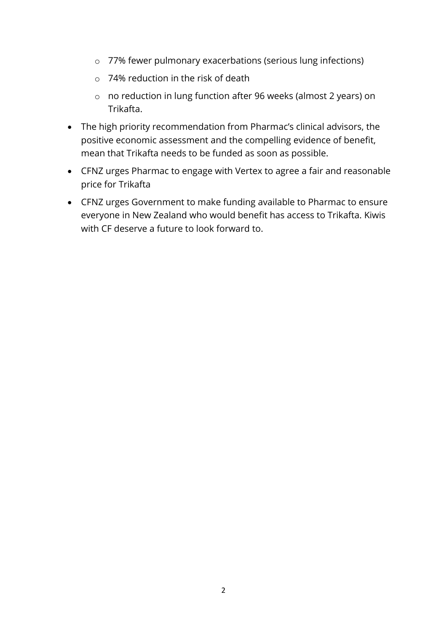- o 77% fewer pulmonary exacerbations (serious lung infections)
- o 74% reduction in the risk of death
- o no reduction in lung function after 96 weeks (almost 2 years) on Trikafta.
- The high priority recommendation from Pharmac's clinical advisors, the positive economic assessment and the compelling evidence of benefit, mean that Trikafta needs to be funded as soon as possible.
- CFNZ urges Pharmac to engage with Vertex to agree a fair and reasonable price for Trikafta
- CFNZ urges Government to make funding available to Pharmac to ensure everyone in New Zealand who would benefit has access to Trikafta. Kiwis with CF deserve a future to look forward to.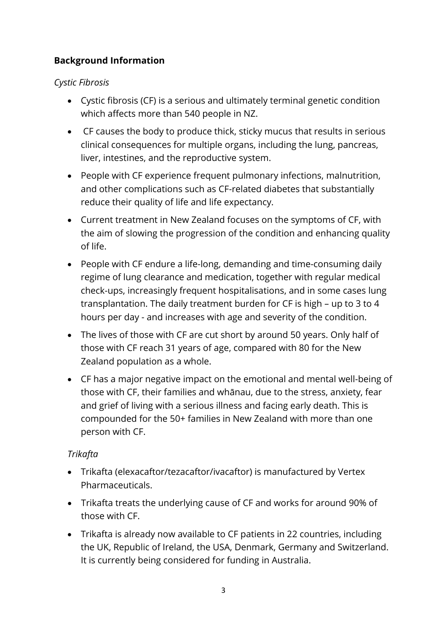## **Background Information**

#### *Cystic Fibrosis*

- Cystic fibrosis (CF) is a serious and ultimately terminal genetic condition which affects more than 540 people in NZ.
- CF causes the body to produce thick, sticky mucus that results in serious clinical consequences for multiple organs, including the lung, pancreas, liver, intestines, and the reproductive system.
- People with CF experience frequent pulmonary infections, malnutrition, and other complications such as CF-related diabetes that substantially reduce their quality of life and life expectancy.
- Current treatment in New Zealand focuses on the symptoms of CF, with the aim of slowing the progression of the condition and enhancing quality of life.
- People with CF endure a life-long, demanding and time-consuming daily regime of lung clearance and medication, together with regular medical check-ups, increasingly frequent hospitalisations, and in some cases lung transplantation. The daily treatment burden for CF is high – up to 3 to 4 hours per day - and increases with age and severity of the condition.
- The lives of those with CF are cut short by around 50 years. Only half of those with CF reach 31 years of age, compared with 80 for the New Zealand population as a whole.
- CF has a major negative impact on the emotional and mental well-being of those with CF, their families and whānau, due to the stress, anxiety, fear and grief of living with a serious illness and facing early death. This is compounded for the 50+ families in New Zealand with more than one person with CF.

## *Trikafta*

- Trikafta (elexacaftor/tezacaftor/ivacaftor) is manufactured by Vertex Pharmaceuticals.
- Trikafta treats the underlying cause of CF and works for around 90% of those with CF.
- Trikafta is already now available to CF patients in 22 countries, including the UK, Republic of Ireland, the USA, Denmark, Germany and Switzerland. It is currently being considered for funding in Australia.